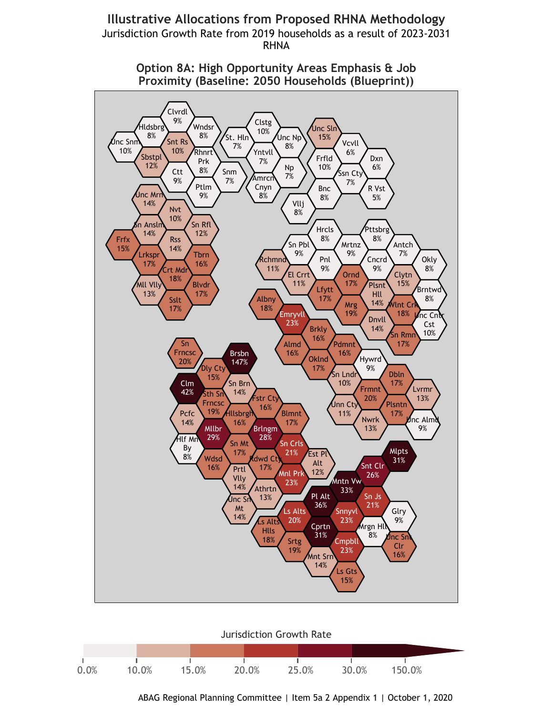## **Illustrative Allocations from Proposed RHNA Methodology** Jurisdiction Growth Rate from 2019 households as a result of 2023-2031 **RHNA**



Option 8A: High Opportunity Areas Emphasis & Job Proximity (Baseline: 2050 Households (Blueprint))

**Jurisdiction Growth Rate** 



ABAG Regional Planning Committee | Item 5a 2 Appendix 1 | October 1, 2020